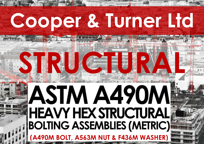# **Cooper & Turner Ltd**

**STRUCTURAL** 

# ASTM A490M<br>HEAVY HEX STRUCTURAL<br>BOLTING ASSEMBLIES (METRIC) **(A490M BOLT, A563M NUT & F436M WASHER)**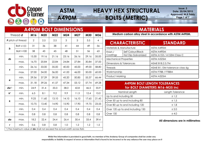

# **HEAVY HEX STRUCTURAL BOLTS (METRIC)**

**Issue: 3 Date: 20/04/2015 Approved: M.R.Tiddy Page 1 of 7**

| <b>A490M BOLT DIMENSIONS</b> |                                                                                 |                |       |       |       |       |       |                          |  |  |  |
|------------------------------|---------------------------------------------------------------------------------|----------------|-------|-------|-------|-------|-------|--------------------------|--|--|--|
|                              | Thread <b>d</b>                                                                 | M16            | M20   | M22   | M24   | M27   | M30   | M36                      |  |  |  |
|                              | P pitch of thread                                                               | $\overline{2}$ | 2.5   | 2.5   | 3     | 3     | 3.5   | $\overline{\mathcal{A}}$ |  |  |  |
|                              | Bolt $\leq 100$                                                                 | 31             | 36    | 38    | 41    | 44    | 49    | 56                       |  |  |  |
| b                            | Bolt >100                                                                       | 38             | 43    | 45    | 48    | 51    | 56    | 63                       |  |  |  |
|                              | min.                                                                            | 15.30          | 19.16 | 21.16 | 23.16 | 26.16 | 29.16 | 35.00                    |  |  |  |
| ds                           | max.                                                                            | 16.70          | 20.84 | 22.84 | 24.84 | 27.84 | 30.84 | 37.00                    |  |  |  |
|                              | min.                                                                            | 26.16          | 33.00 | 35.00 | 40.00 | 45.00 | 49.00 | 58.80                    |  |  |  |
| S                            | max.                                                                            | 27.00          | 34.00 | 36.00 | 41.00 | 46.00 | 50.00 | 60.00                    |  |  |  |
|                              | min.                                                                            | 29.56          | 37.29 | 39.55 | 45.20 | 50.85 | 55.37 | 66.44                    |  |  |  |
| е                            | max.                                                                            | 31.18          | 39.26 | 41.57 | 47.34 | 53.12 | 57.74 | 69.28                    |  |  |  |
| dw'                          | min.                                                                            | 24.9           | 31.4  | 33.3  | 38.0  | 42.8  | 46.5  | 55.9                     |  |  |  |
| k <sup>1</sup>               | min.                                                                            | 6.5            | 8.1   | 9.2   | 9.9   | 11.3  | 12.4  | 15.0                     |  |  |  |
|                              | min.                                                                            | 9.25           | 11.60 | 13.10 | 14.10 | 16.10 | 17.65 | 21.45                    |  |  |  |
| $\pmb{k}$                    | max.                                                                            | 10.75          | 13.40 | 14.90 | 15.90 | 17.90 | 19.75 | 23.55                    |  |  |  |
|                              | min.                                                                            | 0.4            | 0.4   | 0.4   | 0.4   | 0.4   | 0.4   | 0.4                      |  |  |  |
| C                            | max.                                                                            | 0.8            | 0.8   | 0.8   | 0.8   | 0.8   | 0.8   | 0.8                      |  |  |  |
| da                           | max.                                                                            | 18.2           | 22.4  | 24.4  | 26.4  | 30.4  | 33.4  | 39.4                     |  |  |  |
| r                            | min.                                                                            | 0.6            | 0.8   | 0.8   | 1.0   | 1.2   | 1.2   | 1.5                      |  |  |  |
|                              | ) The maximum value of <b>dw</b> shall not exceed the actual width across flats |                |       |       |       |       |       |                          |  |  |  |

**ASTM** 

**A490M**

## **MATERIALS**

**Medium carbon alloy steel in accordance with ASTM A490M.**

|                              | <b>CHARACTERISTIC</b>     | <b>STANDARD</b>                |  |  |  |  |
|------------------------------|---------------------------|--------------------------------|--|--|--|--|
| Materials & Manufacture      |                           | ASTM A490M                     |  |  |  |  |
| Finish /                     | Self Colour/Black         | ASTM A490M                     |  |  |  |  |
| Coatings                     | <b>Hot Dip Galvanized</b> | ASTM A153 / A153M Class C      |  |  |  |  |
| <b>Mechanical Properties</b> |                           | ASTM A325M                     |  |  |  |  |
| Dimensions & Tolerances      |                           | ASME B18.2.3.7M                |  |  |  |  |
| <b>Threads</b>               |                           | ASME B1.13M tolerance class 6g |  |  |  |  |
| Workmanship                  |                           | ASTM F788 / F788M              |  |  |  |  |
| <b>Product Marking</b>       |                           | ASTM A325M                     |  |  |  |  |

#### **A490M BOLT LENGTH TOLERANCES for BOLT DIAMETERS M16-M35 inc**

| Nominal Length                   | Length Tolerance |  |  |  |  |
|----------------------------------|------------------|--|--|--|--|
| Up to and including 50           | $+1.2$           |  |  |  |  |
| Over 50 up to and including 80   | ±1.5             |  |  |  |  |
| Over 80 up to and including 120  | ±1.8             |  |  |  |  |
| Over 120 up to and including 150 | ± 2.0            |  |  |  |  |
| Over 150                         | $+4.0$           |  |  |  |  |

**All dimensions are in millimetres**

**Whilst the information is provided in good faith, no member of the Andaray Group of companies shall be under any** 

**responsibility or liability in respect of errors or information that is found to be incorrect or for any reliance the user may place on it**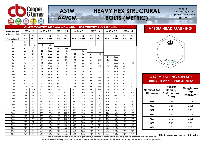



# **HEAVY HEX STRUCTURAL BOLTS (METRIC)**

**Issue: 3 Date: 20/04/2015 Approved: M.R.Tiddy Page 2 of 7**

| A490M MAXIMUM GRIP GAUGING LENGTH and MINIMUM BODY LENGTHS |      |                     |      |           |      |           |      |                |      |         |      |           |      |         |
|------------------------------------------------------------|------|---------------------|------|-----------|------|-----------|------|----------------|------|---------|------|-----------|------|---------|
| Nom. bolt dia.                                             |      | M <sub>16</sub> x 2 |      | M20 x 2.5 |      | M22 x 2.5 |      | $M24 \times 3$ |      | M27 x 3 |      | M30 x 3.5 |      | M36 x 4 |
| & thread pitch                                             | Is   | lg                  | Is   | lg        | Is   | lg        | Is   | lg             | Is   | lg      | Is   | lg        | Is   | lg      |
| I nom. length                                              | min. | max.                | min. | max.      | min. | max.      | min. | max.           | min. | max.    | min. | max.      | min. | max.    |
| 45                                                         | 4    | 8                   |      |           |      |           |      |                |      |         |      |           |      |         |
| 50                                                         | 19   | 13                  | 14   | 6.5       |      |           |      |                |      |         |      |           |      |         |
| 55                                                         | 24   | 18                  | 19   | 11.5      | 17   | 9.5       |      |                |      |         |      |           |      |         |
| 60                                                         | 29   | 23                  | 24   | 16.5      | 22   | 14.5      | 19   | 10             |      |         |      |           |      |         |
| 65                                                         | 34   | 28                  | 29   | 21.5      | 27   | 19.5      | 24   | 15             | 21   | 12      |      |           |      |         |
| 70                                                         | 39   | 33                  | 34   | 26.5      | 32   | 24.5      | 29   | 20             | 26   | 17      | 21   | 10.5      |      |         |
| 75                                                         | 44   | 38                  | 39   | 31.5      | 37   | 29.5      | 34   | 25             | 31   | 22      | 26   | 15.5      |      |         |
| 80                                                         | 49   | 43                  | 44   | 36.5      | 42   | 34.5      | 39   | 30             | 36   | 27      | 31   | 20.5      | 24   | 12      |
| 85                                                         | 54   | 48                  | 49   | 41.5      | 47   | 39.5      | 44   | 35             | 41   | 32      | 36   | 25.5      | 29   | 17      |
| 90                                                         | 59   | 53                  | 54   | 46.5      | 52   | 44.5      | 49   | 40             | 46   | 37      | 41   | 30.5      | 34   | 22      |
| 95                                                         | 64   | 58                  | 59   | 51.5      | 57   | 49.5      | 54   | 45             | 51   | 42      | 46   | 35.5      | 39   | 27      |
| 100                                                        | 69   | 63                  | 64   | 56.5      | 62   | 54.5      | 59   | 50             | 56   | 47      | 51   | 40.5      | 44   | 32      |
| 110                                                        | 72   | 66                  | 67   | 59.5      | 65   | 57.5      | 62   | 53             | 59   | 50      | 54   | 43.5      | 47   | 35      |
| 120                                                        | 82   | 76                  | 77   | 69.5      | 75   | 67.5      | 72   | 63             | 69   | 60      | 64   | 53.5      | 57   | 45      |
| 130                                                        | 92   | 86                  | 87   | 79.5      | 85   | 77.5      | 82   | 73             | 79   | 70      | 74   | 63.5      | 67   | 55      |
| 140                                                        | 102  | 96                  | 97   | 89.5      | 95   | 87.5      | 92   | 83             | 89   | 80      | 84   | 73.5      | 77   | 65      |
| 150                                                        | 112  | 106                 | 107  | 99.5      | 105  | 97.5      | 102  | 93             | 99   | 90      | 94   | 83.5      | 87   | 75      |
| 160                                                        | 122  | 116                 | 117  | 109.5     | 115  | 107.5     | 112  | 103            | 109  | 100     | 104  | 93.5      | 97   | 85      |
| 170                                                        | 132  | 126                 | 127  | 119.5     | 125  | 117.5     | 122  | 113            | 119  | 110     | 114  | 103.5     | 107  | 95      |
| 180                                                        | 142  | 136                 | 137  | 129.5     | 135  | 127.5     | 132  | 123            | 129  | 120     | 124  | 113.5     | 117  | 105     |
| 190                                                        | 152  | 146                 | 147  | 139.5     | 145  | 137.5     | 142  | 133            | 139  | 130     | 134  | 123.5     | 127  | 115     |
| 200                                                        | 162  | 156                 | 157  | 149.5     | 155  | 147.5     | 152  | 143            | 149  | 140     | 144  | 133.5     | 137  | 125     |
| 210                                                        | 172  | 166                 | 167  | 159.5     | 165  | 157.5     | 162  | 153            | 159  | 150     | 154  | 143.5     | 147  | 135     |
| 220                                                        | 182  | 176                 | 177  | 169.5     | 175  | 167.5     | 172  | 163            | 169  | 160     | 164  | 153.5     | 157  | 145     |
| 230                                                        | 192  | 186                 | 187  | 179.5     | 185  | 177.5     | 182  | 173            | 179  | 170     | 174  | 163.5     | 167  | 155     |
| 240                                                        | 202  | 196                 | 197  | 189.5     | 195  | 187.5     | 192  | 183            | 189  | 180     | 184  | 173.5     | 177  | 165     |
| 250                                                        | 212  | 206                 | 207  | 199.5     | 205  | 197.5     | 202  | 193            | 199  | 190     | 194  | 183.5     | 187  | 175     |
| 260                                                        | 222  | 216                 | 217  | 209.5     | 215  | 207.5     | 212  | 203            | 209  | 200     | 204  | 193.5     | 197  | 185     |
| 270                                                        | 232  | 226                 | 227  | 219.5     | 225  | 217.5     | 222  | 213            | 219  | 210     | 214  | 203.5     | 207  | 195     |
| 280                                                        | 242  | 236                 | 237  | 229.5     | 235  | 227.5     | 232  | 223            | 229  | 220     | 224  | 213.5     | 217  | 205     |
| 290                                                        | 252  | 246                 | 247  | 239.5     | 245  | 237.5     | 242  | 233            | 239  | 230     | 234  | 223.5     | 227  | 215     |
| 300                                                        | 262  | 256                 | 257  | 249.5     | 255  | 247.5     | 252  | 243            | 249  | 240     | 244  | 233.5     | 237  | 225     |

#### **A490M HEAD MARKING**



#### **A490M BEARING SURFACE RUNOUT and STRAIGHTNESS**

| <b>Nominal Bolt</b><br>Diameter | Runout<br><b>Bearing</b><br>Surface max<br>(mm) | <b>Straightness</b><br>max<br>(mm/mm) |  |  |
|---------------------------------|-------------------------------------------------|---------------------------------------|--|--|
| M16                             | 0.48                                            | 0.006                                 |  |  |
| M20                             | 0.59                                            | 0.006                                 |  |  |
| M22                             | 0.63                                            | 0.006                                 |  |  |
| M24                             | 0.70                                            | 0.006                                 |  |  |
| M27                             | 0.77                                            | 0.006                                 |  |  |
| M30                             | 0.77                                            | 0.006                                 |  |  |
| M36                             | 1.01                                            | 0.006                                 |  |  |

 **All dimensions are in millimetres**

**Whilst the information is provided in good faith, no member of the Andaray Group of companies shall be under any** 

**responsibility or liability in respect of errors or information that is found to be incorrect or for any reliance the user may place on it**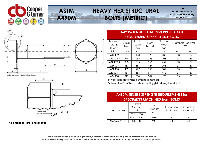



# **HEAVY HEX STRUCTURAL BOLTS (METRIC)**

**Issue: 3 Date: 20/04/2015 Approved: M.R.Tiddy Page 3 of 7**



u=2 P maximum: incomplete thread



**All dimensions are in millimetres**

#### **A490M TENSILE LOAD and PROFF LOAD REQUIREMENTS for FULL SIZE BOLTS**

| Nominal<br>Dia. &<br><b>Thread</b>       | <b>Stress</b><br>Area | Tensile<br>Load<br>min | Proof<br>Load# | Alterative<br>Proof<br>Load*                                | <b>Hardness Rockwell</b><br><b>HRC</b> |     |
|------------------------------------------|-----------------------|------------------------|----------------|-------------------------------------------------------------|----------------------------------------|-----|
| Pitch                                    | mm <sup>2</sup>       | kN                     | kN             | kN                                                          | min                                    | max |
| M <sub>16</sub> X <sub>2</sub>           | 157                   | 163                    | 190            | 130                                                         | 33                                     | 39  |
| M20 X 2.5                                | 245                   | 255                    | 296            | 203                                                         | 33                                     | 39  |
| M22 X 2.5                                | 303                   | 315                    | 366            | 251                                                         | 33                                     | 39  |
| M24 X 3                                  | 353                   | 367                    | 427            | 293                                                         | 33                                     | 39  |
| M37 X 3                                  | 459                   | 477                    | 555            | 381                                                         | 33                                     | 39  |
| M30 X 3.5                                | 561                   | 583                    | 679            | 466                                                         | 33                                     | 39  |
| M36 X 4                                  | 817                   | 850                    | 989            | 678                                                         | 33                                     | 39  |
| # Proof load determined by length method |                       |                        |                |                                                             |                                        |     |
|                                          |                       |                        |                | *Alternative Proof Load determined by yield strength method |                                        |     |

### **A490M TENSILE STRENGTH REQUIREMENTS for SPECIMENS MACHINED from BOLTS**

| Nominal Dia                            | Tensile<br>Strength<br>min |       | Yield<br>Strength<br>min | Elongation<br>in 4D min | Reduction<br>of Area min |  |
|----------------------------------------|----------------------------|-------|--------------------------|-------------------------|--------------------------|--|
|                                        | min                        | max   |                          |                         |                          |  |
|                                        | MPa                        | MPa   | MPa                      | %                       | %                        |  |
| M <sub>16</sub> to M <sub>36</sub> inc | 1040                       | 1210. | 940                      | 4                       |                          |  |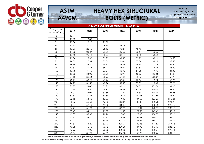



**Issue: 3 Date: 20/04/2015 Approved: M.R.Tiddy Page 4 of 7**

| A325M BOLT FINISH WEIGHT - KILO's/100 |       |       |       |        |                 |        |        |  |  |  |
|---------------------------------------|-------|-------|-------|--------|-----------------|--------|--------|--|--|--|
| <b>Bolt Dia</b><br><b>Bolt Length</b> | M16   | M20   | M22   | M24    | M <sub>27</sub> | M30    | M36    |  |  |  |
| 45                                    | 10.71 |       |       |        |                 |        |        |  |  |  |
| 50                                    | 11.38 | 18.85 |       |        |                 |        |        |  |  |  |
| 55                                    | 12.04 | 20.10 | 25.58 |        |                 |        |        |  |  |  |
| 60                                    | 12.70 | 21.40 | 26.85 | 33.76  |                 |        |        |  |  |  |
| 65                                    | 13.36 | 22.60 | 28.12 | 35.21  | 48.40           |        |        |  |  |  |
| 70                                    | 14.02 | 23.87 | 29.39 | 36.66  | 50.64           | 60.66  |        |  |  |  |
| 75                                    | 14.68 | 25.13 | 30.44 | 38.11  | 52.88           | 63.43  |        |  |  |  |
| 80                                    | 15.34 | 26.40 | 31.93 | 39.56  | 55.12           | 66.21  | 124.50 |  |  |  |
| 85                                    | 16.00 | 27.69 | 33.20 | 41.01  | 57.36           | 68.98  | 128.50 |  |  |  |
| 90                                    | 16.66 | 28.90 | 34.47 | 42.46  | 59.60           | 71.76  | 132.50 |  |  |  |
| 95                                    | 17.32 | 30.15 | 35.74 | 43.91  | 61.84           | 74.53  | 135.40 |  |  |  |
| 100                                   | 17.98 | 31.50 | 37.01 | 45.36  | 64.08           | 77.30  | 141.30 |  |  |  |
| 110                                   | 19.55 | 34.00 | 39.99 | 48.91  | 68.57           | 82.84  | 149.29 |  |  |  |
| 120                                   | 21.13 | 36.44 | 42.97 | 52.46  | 73.06           | 88.39  | 157.28 |  |  |  |
| 130                                   | 22.71 | 38.95 | 45.96 | 56.01  | 77.56           | 93.94  | 165.27 |  |  |  |
| 140                                   | 24.29 | 41.50 | 48.94 | 59.56  | 82.05           | 99.49  | 173.26 |  |  |  |
| 150                                   | 25.87 | 44.00 | 51.93 | 63.11  | 86.55           | 105.04 | 181.25 |  |  |  |
| 160                                   | 27.44 | 46.50 | 54.91 | 66.66  | 91.04           | 110.59 | 189.24 |  |  |  |
| 170                                   | 29.02 | 49.02 | 57.89 | 70.21  | 95.54           | 116.15 | 197.23 |  |  |  |
| 180                                   | 30.60 | 51.53 | 60.88 | 73.77  | 100.03          | 121.69 | 205.22 |  |  |  |
| 190                                   | 32.18 | 54.40 | 63.86 | 77.32  | 104.53          | 127.23 | 213.21 |  |  |  |
| 200                                   | 33.76 | 56.60 | 66.85 | 80.87  | 109.02          | 132.78 | 221.20 |  |  |  |
| 210                                   | 35.34 | 59.10 | 69.83 | 84.42  | 113.52          | 138.32 | 229.19 |  |  |  |
| 220                                   | 36.91 | 61.70 | 72.81 | 87.97  | 118.01          | 143.87 | 237.18 |  |  |  |
| 230                                   | 38.49 | 64.11 | 75.80 | 91.52  | 122.50          | 149.42 | 145.17 |  |  |  |
| 240                                   | 40.07 | 66.65 | 78.78 | 95.07  | 127.00          | 154.97 | 253.16 |  |  |  |
| 250                                   | 41.65 | 69.20 | 81.77 | 98.62  | 131.49          | 160.52 | 261.15 |  |  |  |
| 260                                   | 43.23 | 71.70 | 84.75 | 102.18 | 135.99          | 166.07 | 269.14 |  |  |  |
| 270                                   | 44.81 | 74.20 | 87.73 | 105.73 | 140.48          | 171.62 | 277.13 |  |  |  |
| 280                                   | 46.38 | 76.70 | 90.72 | 109.28 | 144.98          | 177.17 | 285.12 |  |  |  |
| 290                                   | 47.96 | 79.25 | 93.70 | 112.83 | 149.47          | 182.71 | 293.11 |  |  |  |
| 300                                   | 49.54 | 81.90 | 96.69 | 116.38 | 153.97          | 188.26 | 301.10 |  |  |  |

**Whilst the information is provided in good faith, no member of the Andaray Group of companies shall be under any** 

**responsibility or liability in respect of errors or information that is found to be incorrect or for any reliance the user may place on it**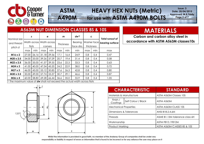

#### **A490M HEAVY HEX NUTs (Metric) for use with ASTM A490M BOLTS**

**Issue: 3 Date: 20/04/2015 Approved: M.R.Tiddy Page 5 of 7**

| <b>A563M NUT DIMENSION CLASSES 8S &amp; 10S</b>                        |                                      |       |       |         |      |           |                      |                          |     |                                           |  |
|------------------------------------------------------------------------|--------------------------------------|-------|-------|---------|------|-----------|----------------------|--------------------------|-----|-------------------------------------------|--|
| Nominal size<br>and thread<br>pitch d                                  | s                                    |       |       | е       | m    |           | dw'                  | C                        |     | <b>Total runout of</b><br>bearing surface |  |
|                                                                        | Width across Width across l<br>flats |       |       | corners |      | Thickness | Bearing<br>face dia. | Washer face<br>thickness |     |                                           |  |
|                                                                        | max                                  | min   | max   | min     | max  | min       | min                  | max                      | min | max                                       |  |
| M16 x 2                                                                | 27.00                                | 26.16 | 31.18 | 29.56   | 17.1 | 16.4      | 24.9                 | 0.8                      | 0.4 | 0.47                                      |  |
| $M20 \times 2.5$                                                       | 34.00                                | 33.00 | 39.26 | 37.29   | 20.7 | 19.4      | 31.4                 | 0.8                      | 0.4 | 0.58                                      |  |
| $M22 \times 2.5$                                                       | 36.00                                | 35.00 | 41.57 | 39.55   | 23.6 | 22.3      | 33.3                 | 0.8                      | 0.4 | 0.63                                      |  |
| $M24 \times 3$                                                         | 41.00                                | 40.00 | 47.34 | 45.20   | 24.2 | 22.9      | 38.0                 | 0.8                      | 0.4 | 0.72                                      |  |
| $M27 \times 3$                                                         | 46.00                                | 45.00 | 53.12 | 50.85   | 27.6 | 26.3      | 42.8                 | 0.8                      | 0.4 | 0.80                                      |  |
| M30 x 3.5                                                              | 50.00                                | 49.00 | 57.74 | 55.37   | 30.7 | 29.1      | 46.6                 | 0.8                      | 0.4 | 0.87                                      |  |
| $M36 \times 4$                                                         | 60.00                                | 58.80 | 69.28 | 66.44   | 36.6 | 35.0      | 55.9                 | 0.8                      | 0.4 | 1.05                                      |  |
| The maximum value of dw shall not exceed the actual width across flats |                                      |       |       |         |      |           |                      |                          |     |                                           |  |

**ASTM** 

# **MATERIALS**

**Carbon and carbon alloy steel in accordance with ASTM A563M classes10s**



|                              | <b>CHARACTERISTIC</b>   | <b>STANDARD</b>                |  |  |  |  |
|------------------------------|-------------------------|--------------------------------|--|--|--|--|
|                              | Materials & Manufacture | ASTM A563M Classes 10S         |  |  |  |  |
| Finish /<br>Coatings         | Self Colour / Black     | ASTM A563M                     |  |  |  |  |
| <b>Mechanical Properties</b> |                         | ASTM A563M CLASS 10S           |  |  |  |  |
|                              | Dimensions & Tolerances | ANSI B18.2.4.6M                |  |  |  |  |
| <b>Threads</b>               |                         | ASME B1.13M tolerance class 6H |  |  |  |  |
| Workmanship                  |                         | ASTM F812 / F812M              |  |  |  |  |
| Product Marking              |                         | ASTM A563M C; ASSES 8S & 10S   |  |  |  |  |

**Whilst the information is provided in good faith, no member of the Andaray Group of companies shall be under any responsibility or liability in respect of errors or information that is found to be incorrect or for any reliance the user may place on it**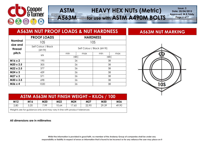

# **HEAVY HEX NUTs (Metric) for use with ASTM A490M BOLTS**

**Issue: 3 Date: 20/04/2015 Approved: M.R.Tiddy Page 6 of 7**

#### **A563M NUT PROOF LOADS & NUT HARDNESS ASSESSM NUT MARKING Nominal size and thread pitch PROOF LOADS HARDNESS** 10S 10S Self Colour / Black (6H fit) Self Colour / Black (6H fit) kN min max min max HRC HRC **M16 x 2** 195 26 26 38 **M20 x 2.5**  $\vert$  305  $\vert$  26  $\vert$  38 **M22 x 2.5**  $\begin{vmatrix} 377 & 26 \end{vmatrix}$  38 **M24 x 3 439 26 10 38 M27 x 3** 571 26 38

**ASTM** 

**A563M**

| ASTM A563M NUT FINISH WEIGHT - KILOS / 100 |            |     |       |       |                 |       |       |  |  |  |
|--------------------------------------------|------------|-----|-------|-------|-----------------|-------|-------|--|--|--|
| M12                                        | <b>M16</b> | M20 | M22   | M24   | M <sub>27</sub> | M30   | M36   |  |  |  |
| 2.80                                       | 5.20       | 799 | 10.64 | 17.65 | 22.90           | 29.39 | 49.90 |  |  |  |

**M30 x 3.5** 698 26 38 **M36 x 4** 1020 1020 26 38

Weights are for guidance only and may vary in line with product tolerances

#### **All dimensions are in millimetres**



**Whilst the information is provided in good faith, no member of the Andaray Group of companies shall be under any responsibility or liability in respect of errors or information that is found to be incorrect or for any reliance the user may place on it**